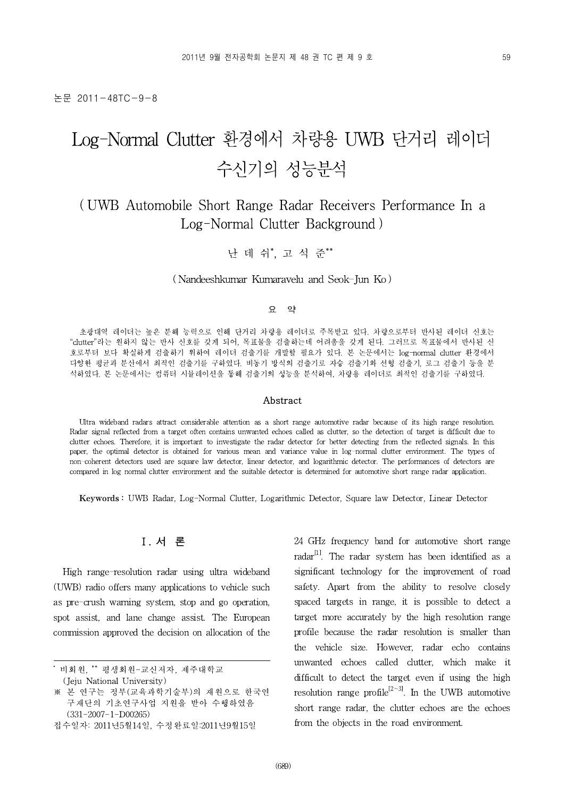논문 2011-48TC-9-8

# Log-Normal Clutter 환경에서 차량용 UWB 단거리 레이더 수신기의 성능분석

# ( UWB Automobile Short Range Radar Receivers Performance In a Log-Normal Clutter Background )

난 데 쉬\*, 고 석 준\*\*

#### ( Nandeeshkumar Kumaravelu and Seok-Jun Ko )

#### 요 약

초광대역 레이더는 높은 분해 능력으로 인해 단거리 차량용 레이더로 주목받고 있다. 차량으로부터 반사된 레이더 신호는 "clutter"라는 원하지 않는 반사 신호를 갖게 되어, 목표물을 검출하는데 어려움을 갖게 된다. 그러므로 목표물에서 반사된 신 호로부터 보다 확실하게 검출하기 위하여 레이더 검출기를 개발할 필요가 있다. 본 논문에서는 log-normal clutter 환경에서 다양한 평균과 분산에서 최적인 검출기를 구하였다. 비동기 방식의 검출기로 자승 검출기와 선형 검출기, 로그 검출기 등을 분 석하였다. 본 논문에서는 컴퓨터 시뮬레이션을 통해 검출기의 성능을 분석하여, 차량용 레이더로 최적인 검출기를 구하였다.

#### Abstract

Ultra wideband radars attract considerable attention as a short range automotive radar because of its high range resolution. Radar signal reflected from a target often contains unwanted echoes called as clutter, so the detection of target is difficult due to clutter echoes. Therefore, it is important to investigate the radar detector for better detecting from the reflected signals. In this paper, the optimal detector is obtained for various mean and variance value in log-normal clutter environment. The types of non-coherent detectors used are square law detector, linear detector, and logarithmic detector. The performances of detectors are compared in log normal clutter environment and the suitable detector is determined for automotive short range radar application.

Keywords : UWB Radar, Log-Normal Clutter, Logarithmic Detector, Square law Detector, Linear Detector



High range-resolution radar using ultra wideband (UWB) radio offers many applications to vehicle such as pre-crush warning system, stop and go operation, spot assist, and lane change assist. The European commission approved the decision on allocation of the 24 GHz frequency band for automotive short range radar<sup>[1]</sup>. The radar system has been identified as a significant technology for the improvement of road safety. Apart from the ability to resolve closely spaced targets in range, it is possible to detect a target more accurately by the high resolution range profile because the radar resolution is smaller than the vehicle size. However, radar echo contains unwanted echoes called clutter, which make it difficult to detect the target even if using the high resolution range profile<sup>[2~3]</sup>. In the UWB automotive short range radar, the clutter echoes are the echoes from the objects in the road environment.

<sup>\*</sup> 비회원, \*\* 평생회원-교신저자, 제주대학교 (Jeju National University)

<sup>※</sup> 본 연구는 정부(교육과학기술부)의 재원으로 한국연 구재단의 기초연구사업 지원을 받아 수행하였음 (331-2007-1-D00265)

접수일자: 2011년5월14일, 수정완료일:2011년9월15일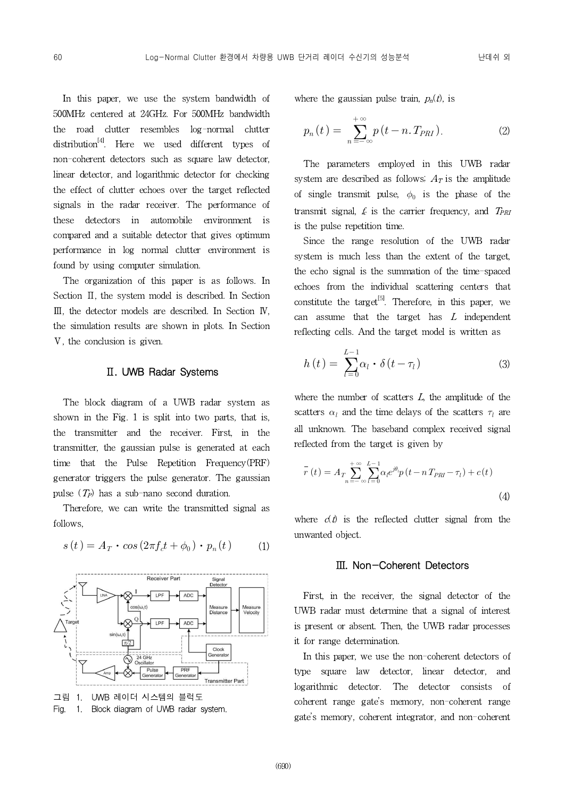In this paper, we use the system bandwidth of 500MHz centered at 24GHz. For 500MHz bandwidth the road clutter resembles log-normal clutter distribution[4]. Here we used different types of non-coherent detectors such as square law detector, linear detector, and logarithmic detector for checking the effect of clutter echoes over the target reflected signals in the radar receiver. The performance of these detectors in automobile environment is compared and a suitable detector that gives optimum performance in log normal clutter environment is found by using computer simulation.

The organization of this paper is as follows. In Section II, the system model is described. In Section Ⅲ, the detector models are described. In Section Ⅳ, the simulation results are shown in plots. In Section Ⅴ, the conclusion is given.

#### Ⅱ. UWB Radar Systems

The block diagram of a UWB radar system as shown in the Fig. 1 is split into two parts, that is, the transmitter and the receiver. First, in the transmitter, the gaussian pulse is generated at each time that the Pulse Repetition Frequency(PRF) generator triggers the pulse generator. The gaussian pulse  $(T_P)$  has a sub-nano second duration.

Therefore, we can write the transmitted signal as follows,

$$
s(t) = A_T \cdot \cos\left(2\pi f_c t + \phi_0\right) \cdot p_n(t) \tag{1}
$$



그림 1. UWB 레이더 시스템의 블럭도 Fig. 1. Block diagram of UWB radar system.

where the gaussian pulse train,  $p_n(t)$ , is

$$
p_n(t) = \sum_{n = -\infty}^{+\infty} p(t - n \cdot T_{PRI}).
$$
 (2)

The parameters employed in this UWB radar system are described as follows;  $A_T$  is the amplitude of single transmit pulse,  $\phi_0$  is the phase of the transmit signal,  $f_c$  is the carrier frequency, and  $T_{PRI}$ is the pulse repetition time.

Since the range resolution of the UWB radar system is much less than the extent of the target, the echo signal is the summation of the time-spaced echoes from the individual scattering centers that constitute the target<sup>[5]</sup>. Therefore, in this paper, we can assume that the target has  $L$  independent reflecting cells. And the target model is written as

$$
h(t) = \sum_{l=0}^{L-1} \alpha_l \cdot \delta(t - \tau_l)
$$
 (3)

where the number of scatters  $L$ , the amplitude of the scatters  $\alpha_l$  and the time delays of the scatters  $\tau_l$  are all unknown. The baseband complex received signal reflected from the target is given by

$$
\overline{r}(t) = A_T \sum_{n=-\infty}^{+\infty} \sum_{l=0}^{L-1} \alpha_l e^{j\theta_l} p(t - nT_{PRI} - \tau_l) + c(t)
$$
\n(4)

where  $c(t)$  is the reflected clutter signal from the unwanted object.

#### Ⅲ. Non-Coherent Detectors

First, in the receiver, the signal detector of the UWB radar must determine that a signal of interest is present or absent. Then, the UWB radar processes it for range determination.

In this paper, we use the non-coherent detectors of type square law detector, linear detector, and logarithmic detector. The detector consists of coherent range gate's memory, non-coherent range gate's memory, coherent integrator, and non-coherent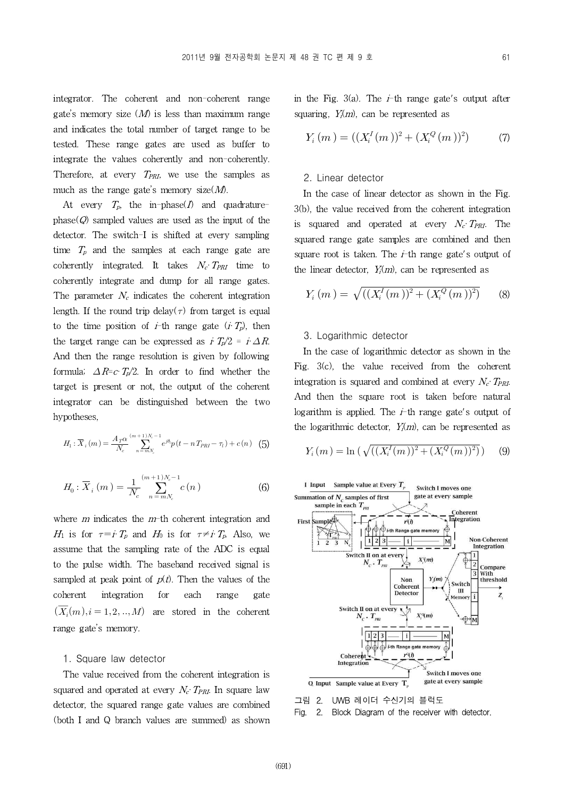integrator. The coherent and non-coherent range gate's memory size  $(M)$  is less than maximum range and indicates the total number of target range to be tested. These range gates are used as buffer to integrate the values coherently and non-coherently. Therefore, at every  $T_{PRI}$ , we use the samples as much as the range gate's memory size $(M)$ .

At every  $T_p$ , the in-phase(*I*) and quadraturephase( $Q$ ) sampled values are used as the input of the detector. The switch-I is shifted at every sampling time  $T_p$  and the samples at each range gate are coherently integrated. It takes  $N_c \cdot T_{PRI}$  time to coherently integrate and dump for all range gates. The parameter  $N_c$  indicates the coherent integration length. If the round trip delay( $\tau$ ) from target is equal to the time position of *i*-th range gate  $(iT_p)$ , then the target range can be expressed as  $\dot{I}T_p/2 = \dot{I} \Delta R$ . And then the range resolution is given by following formula;  $\Delta R = cT_p/2$ . In order to find whether the target is present or not, the output of the coherent integrator can be distinguished between the two hypotheses,

$$
H_1: \overline{X}_i(m) = \frac{A_T \alpha}{N_c} \sum_{n = mN_c}^{(m+1)N_c - 1} e^{j\theta_i} p(t - nT_{PRI} - \tau_l) + c(n) \quad (5)
$$

$$
H_0: \overline{X}_i(m) = \frac{1}{N_c} \sum_{n=mN_c}^{(m+1)N_c-1} c(n)
$$
 (6)

where  $m$  indicates the  $m$ -th coherent integration and First  $H_1$  is for  $\tau = i \tau_p$  and  $H_0$  is for  $\tau \neq i \tau_p$ . Also, we assume that the sampling rate of the ADC is equal to the pulse width. The baseband received signal is sampled at peak point of  $p(t)$ . Then the values of the coherent integration for each range gate  $(\overline{X_i}(m), i = 1, 2, ..., M)$  are stored in the coherent range gate's memory.

#### 1. Square law detector

The value received from the coherent integration is squared and operated at every  $N_c$ . T<sub>PRI</sub>. In square law detector, the squared range gate values are combined  $\frac{\Box \text{B}}{\Box \text{C}}$  2. (both I and Q branch values are summed) as shown

in the Fig. 3(a). The  $i$ -th range gate's output after squaring,  $Y<sub>i</sub>(m)$ , can be represented as

$$
Y_i(m) = ((X_i^I(m))^2 + (X_i^Q(m))^2)
$$
 (7)

#### 2. Linear detector

In the case of linear detector as shown in the Fig. 3(b), the value received from the coherent integration is squared and operated at every  $N_c$   $T_{PRI}$ . The squared range gate samples are combined and then square root is taken. The  $i$ -th range gate's output of the linear detector,  $Y_i(m)$ , can be represented as

$$
Y_i(m) = \sqrt{((X_i^I(m))^2 + (X_i^Q(m))^2)}
$$
 (8)

#### 3. Logarithmic detector

In the case of logarithmic detector as shown in the Fig. 3(c), the value received from the coherent integration is squared and combined at every  $N_c \cdot T_{PRI}$ . And then the square root is taken before natural logarithm is applied. The  $i$ -th range gate's output of the logarithmic detector,  $Y_i(m)$ , can be represented as

$$
Y_i(m) = \ln\left(\sqrt{((X_i^I(m))^2 + (X_i^Q(m))^2)}\right) \quad (9)
$$



UWB 레이더 수신기의 블럭도

2. Block Diagram of the receiver with detector.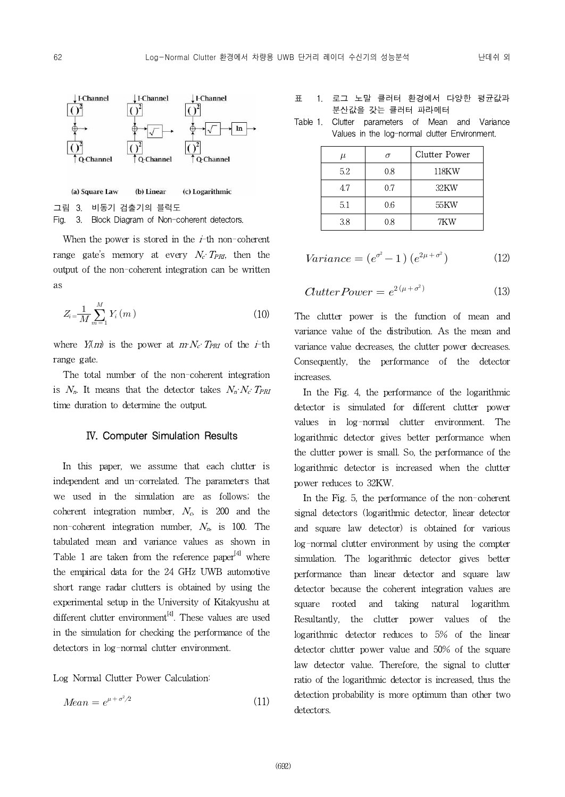

Fig. 3. Block Diagram of Non-coherent detectors.

When the power is stored in the  $i$ -th non-coherent range gate's memory at every  $N_c$ :  $T_{PRI}$ , then the output of the non-coherent integration can be written as

$$
Z_i = \frac{1}{M} \sum_{m=1}^{M} Y_i(m)
$$
 (10)

where  $Y_i(m)$  is the power at  $m N_c$   $T_{PRI}$  of the *i*-th range gate.

The total number of the non-coherent integration is  $N_n$ . It means that the detector takes  $N_n \cdot N_c \cdot T_{PRI}$ time duration to determine the output.

#### Ⅳ. Computer Simulation Results

In this paper, we assume that each clutter is independent and un-correlated. The parameters that we used in the simulation are as follows; the coherent integration number,  $N_c$  is 200 and the non-coherent integration number,  $N_n$  is 100. The tabulated mean and variance values as shown in Table 1 are taken from the reference paper<sup>[4]</sup> where the empirical data for the 24 GHz UWB automotive short range radar clutters is obtained by using the experimental setup in the University of Kitakyushu at different clutter environment<sup>[4]</sup>. These values are used in the simulation for checking the performance of the detectors in log-normal clutter environment.

Log Normal Clutter Power Calculation:

$$
Mean = e^{\mu + \sigma^2/2} \tag{11}
$$

- 표 1. 로그 노말 클러터 환경에서 다양한 평균값과 분산값을 갖는 클러터 파라메터
- Table 1. Clutter parameters of Mean and Variance Values in the log-normal clutter Environment.

| $\mu$ |     | Clutter Power |
|-------|-----|---------------|
| 5.2   | 0.8 | 118KW         |
| 4.7   | 0.7 | 32KW          |
| 5.1   | 0.6 | 55KW          |
| 38    | 18  | 7KW           |

$$
Variance = (e^{\sigma^2} - 1) (e^{2\mu + \sigma^2})
$$
 (12)

$$
OuterPower = e^{2(\mu + \sigma^2)}
$$
 (13)

The clutter power is the function of mean and variance value of the distribution. As the mean and variance value decreases, the clutter power decreases. Consequently, the performance of the detector increases.

In the Fig. 4, the performance of the logarithmic detector is simulated for different clutter power values in log-normal clutter environment. The logarithmic detector gives better performance when the clutter power is small. So, the performance of the logarithmic detector is increased when the clutter power reduces to 32KW.

In the Fig. 5, the performance of the non-coherent signal detectors (logarithmic detector, linear detector and square law detector) is obtained for various log-normal clutter environment by using the compter simulation. The logarithmic detector gives better performance than linear detector and square law detector because the coherent integration values are and taking natural logarithm. Resultantly, the clutter power values of the logarithmic detector reduces to 5% of the linear detector clutter power value and 50% of the square law detector value. Therefore, the signal to clutter ratio of the logarithmic detector is increased, thus the detection probability is more optimum than other two detectors.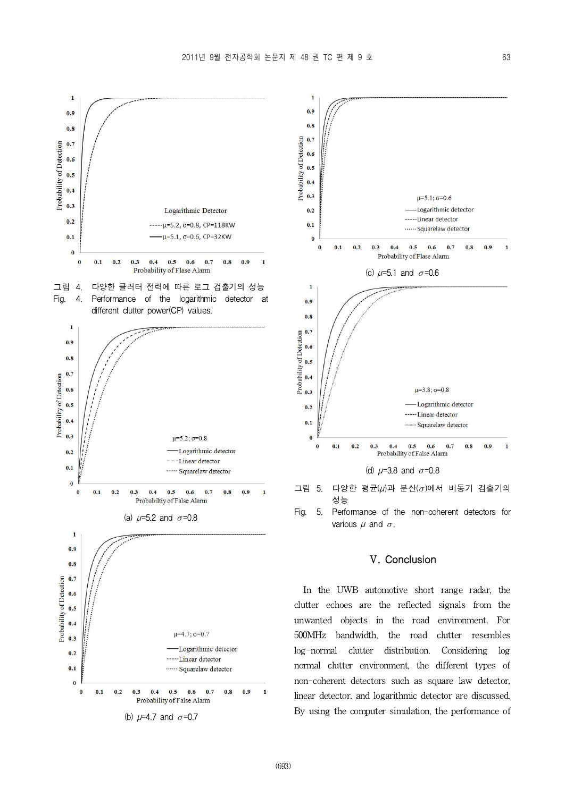$\overline{\mathbf{1}}$ 



(b)  $\mu$ =4.7 and  $\sigma$ =0.7



## Ⅴ. Conclusion

In the UWB automotive short range radar, the clutter echoes are the reflected signals from the unwanted objects in the road environment. For 500MHz bandwidth, the road clutter resembles log-normal clutter distribution. Considering log normal clutter environment, the different types of non-coherent detectors such as square law detector, linear detector, and logarithmic detector are discussed. By using the computer simulation, the performance of